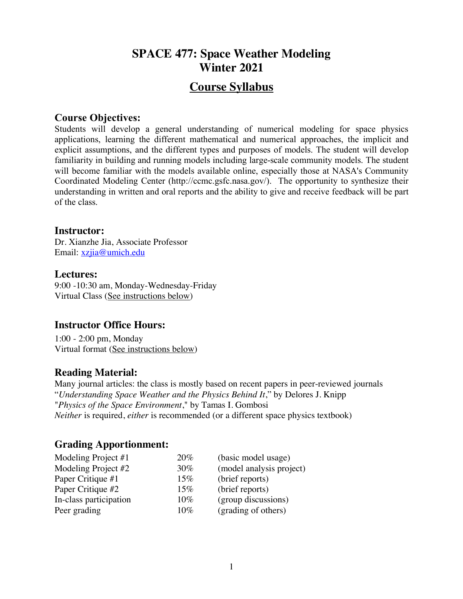# **SPACE 477: Space Weather Modeling Winter 2021**

# **Course Syllabus**

#### **Course Objectives:**

Students will develop a general understanding of numerical modeling for space physics applications, learning the different mathematical and numerical approaches, the implicit and explicit assumptions, and the different types and purposes of models. The student will develop familiarity in building and running models including large-scale community models. The student will become familiar with the models available online, especially those at NASA's Community Coordinated Modeling Center (http://ccmc.gsfc.nasa.gov/). The opportunity to synthesize their understanding in written and oral reports and the ability to give and receive feedback will be part of the class.

#### **Instructor:**

Dr. Xianzhe Jia, Associate Professor Email: xzjia@umich.edu

#### **Lectures:**

9:00 -10:30 am, Monday-Wednesday-Friday Virtual Class (See instructions below)

### **Instructor Office Hours:**

1:00 - 2:00 pm, Monday Virtual format (See instructions below)

## **Reading Material:**

Many journal articles: the class is mostly based on recent papers in peer-reviewed journals "*Understanding Space Weather and the Physics Behind It*," by Delores J. Knipp "*Physics of the Space Environment*," by Tamas I. Gombosi *Neither* is required, *either* is recommended (or a different space physics textbook)

## **Grading Apportionment:**

| Modeling Project #1    | 20% | (basic model usage)      |
|------------------------|-----|--------------------------|
| Modeling Project #2    | 30% | (model analysis project) |
| Paper Critique #1      | 15% | (brief reports)          |
| Paper Critique #2      | 15% | (brief reports)          |
| In-class participation | 10% | (group discussions)      |
| Peer grading           | 10% | (grading of others)      |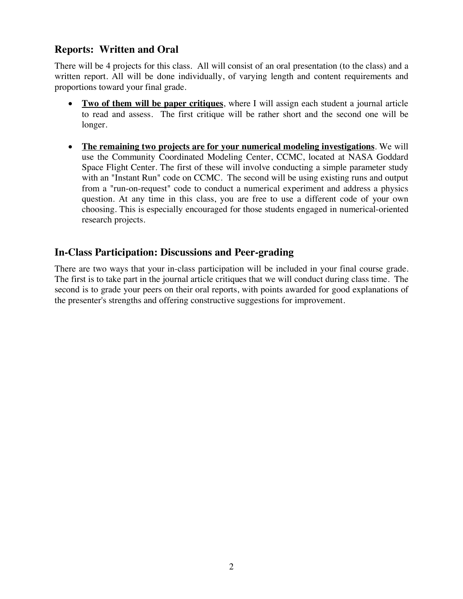## **Reports: Written and Oral**

There will be 4 projects for this class. All will consist of an oral presentation (to the class) and a written report. All will be done individually, of varying length and content requirements and proportions toward your final grade.

- **Two of them will be paper critiques**, where I will assign each student a journal article to read and assess. The first critique will be rather short and the second one will be longer.
- **The remaining two projects are for your numerical modeling investigations**. We will use the Community Coordinated Modeling Center, CCMC, located at NASA Goddard Space Flight Center. The first of these will involve conducting a simple parameter study with an "Instant Run" code on CCMC. The second will be using existing runs and output from a "run-on-request" code to conduct a numerical experiment and address a physics question. At any time in this class, you are free to use a different code of your own choosing. This is especially encouraged for those students engaged in numerical-oriented research projects.

## **In-Class Participation: Discussions and Peer-grading**

There are two ways that your in-class participation will be included in your final course grade. The first is to take part in the journal article critiques that we will conduct during class time. The second is to grade your peers on their oral reports, with points awarded for good explanations of the presenter's strengths and offering constructive suggestions for improvement.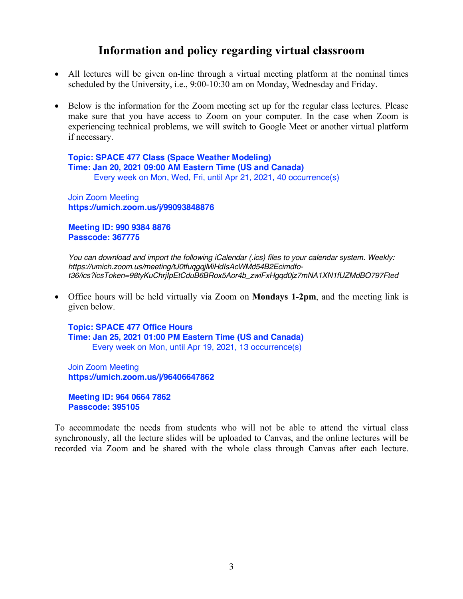# **Information and policy regarding virtual classroom**

- All lectures will be given on-line through a virtual meeting platform at the nominal times scheduled by the University, i.e., 9:00-10:30 am on Monday, Wednesday and Friday.
- Below is the information for the Zoom meeting set up for the regular class lectures. Please make sure that you have access to Zoom on your computer. In the case when Zoom is experiencing technical problems, we will switch to Google Meet or another virtual platform if necessary.

**Topic: SPACE 477 Class (Space Weather Modeling) Time: Jan 20, 2021 09:00 AM Eastern Time (US and Canada)** Every week on Mon, Wed, Fri, until Apr 21, 2021, 40 occurrence(s)

Join Zoom Meeting **https://umich.zoom.us/j/99093848876** 

**Meeting ID: 990 9384 8876 Passcode: 367775**

*You can download and import the following iCalendar (.ics) files to your calendar system. Weekly: https://umich.zoom.us/meeting/tJ0tfuqgqjMiHdIsAcWMd54B2Ecimdfot36/ics?icsToken=98tyKuChrjIpEtCduB6BRox5Aor4b\_zwiFxHgqd0jz7mNA1XN1fUZMdBO797Fted* 

• Office hours will be held virtually via Zoom on **Mondays 1-2pm**, and the meeting link is given below.

**Topic: SPACE 477 Office Hours Time: Jan 25, 2021 01:00 PM Eastern Time (US and Canada)** Every week on Mon, until Apr 19, 2021, 13 occurrence(s)

Join Zoom Meeting **https://umich.zoom.us/j/96406647862** 

**Meeting ID: 964 0664 7862 Passcode: 395105**

To accommodate the needs from students who will not be able to attend the virtual class synchronously, all the lecture slides will be uploaded to Canvas, and the online lectures will be recorded via Zoom and be shared with the whole class through Canvas after each lecture.